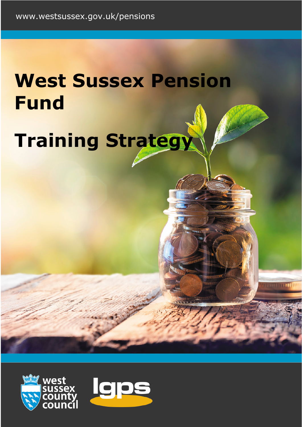# **West Sussex Pension Fund Training Strategy**

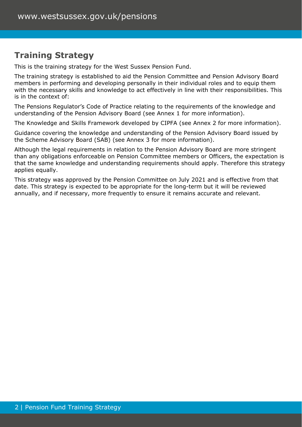# **Training Strategy**

This is the training strategy for the West Sussex Pension Fund.

The training strategy is established to aid the Pension Committee and Pension Advisory Board members in performing and developing personally in their individual roles and to equip them with the necessary skills and knowledge to act effectively in line with their responsibilities. This is in the context of:

The Pensions Regulator's Code of Practice relating to the requirements of the knowledge and understanding of the Pension Advisory Board (see Annex 1 for more information).

The Knowledge and Skills Framework developed by CIPFA (see Annex 2 for more information).

Guidance covering the knowledge and understanding of the Pension Advisory Board issued by the Scheme Advisory Board (SAB) (see Annex 3 for more information).

Although the legal requirements in relation to the Pension Advisory Board are more stringent than any obligations enforceable on Pension Committee members or Officers, the expectation is that the same knowledge and understanding requirements should apply. Therefore this strategy applies equally.

This strategy was approved by the Pension Committee on July 2021 and is effective from that date. This strategy is expected to be appropriate for the long-term but it will be reviewed annually, and if necessary, more frequently to ensure it remains accurate and relevant.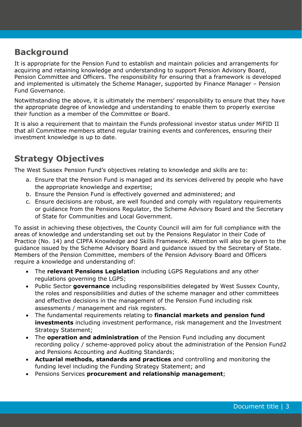## **Background**

It is appropriate for the Pension Fund to establish and maintain policies and arrangements for acquiring and retaining knowledge and understanding to support Pension Advisory Board, Pension Committee and Officers. The responsibility for ensuring that a framework is developed and implemented is ultimately the Scheme Manager, supported by Finance Manager – Pension Fund Governance.

Notwithstanding the above, it is ultimately the members' responsibility to ensure that they have the appropriate degree of knowledge and understanding to enable them to properly exercise their function as a member of the Committee or Board.

It is also a requirement that to maintain the Funds professional investor status under MiFID II that all Committee members attend regular training events and conferences, ensuring their investment knowledge is up to date.

# **Strategy Objectives**

The West Sussex Pension Fund's objectives relating to knowledge and skills are to:

- a. Ensure that the Pension Fund is managed and its services delivered by people who have the appropriate knowledge and expertise;
- b. Ensure the Pension Fund is effectively governed and administered; and
- c. Ensure decisions are robust, are well founded and comply with regulatory requirements or guidance from the Pensions Regulator, the Scheme Advisory Board and the Secretary of State for Communities and Local Government.

To assist in achieving these objectives, the County Council will aim for full compliance with the areas of knowledge and understanding set out by the Pensions Regulator in their Code of Practice (No. 14) and CIPFA Knowledge and Skills Framework. Attention will also be given to the guidance issued by the Scheme Advisory Board and guidance issued by the Secretary of State. Members of the Pension Committee, members of the Pension Advisory Board and Officers require a knowledge and understanding of:

- The **relevant Pensions Legislation** including LGPS Regulations and any other regulations governing the LGPS;
- Public Sector **governance** including responsibilities delegated by West Sussex County, the roles and responsibilities and duties of the scheme manager and other committees and effective decisions in the management of the Pension Fund including risk assessments / management and risk registers.
- The fundamental requirements relating to **financial markets and pension fund investments** including investment performance, risk management and the Investment Strategy Statement;
- The **operation and administration** of the Pension Fund including any document recording policy / scheme-approved policy about the administration of the Pension Fund2 and Pensions Accounting and Auditing Standards;
- **Actuarial methods, standards and practices** and controlling and monitoring the funding level including the Funding Strategy Statement; and
- Pensions Services **procurement and relationship management**;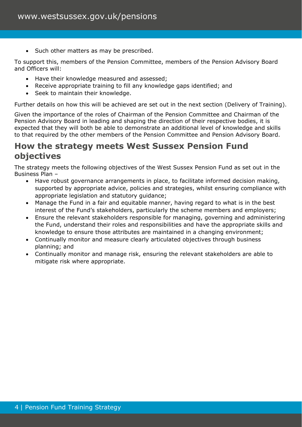Such other matters as may be prescribed.

To support this, members of the Pension Committee, members of the Pension Advisory Board and Officers will:

- Have their knowledge measured and assessed;
- Receive appropriate training to fill any knowledge gaps identified; and
- Seek to maintain their knowledge.

Further details on how this will be achieved are set out in the next section (Delivery of Training).

Given the importance of the roles of Chairman of the Pension Committee and Chairman of the Pension Advisory Board in leading and shaping the direction of their respective bodies, it is expected that they will both be able to demonstrate an additional level of knowledge and skills to that required by the other members of the Pension Committee and Pension Advisory Board.

## **How the strategy meets West Sussex Pension Fund objectives**

The strategy meets the following objectives of the West Sussex Pension Fund as set out in the Business Plan –

- Have robust governance arrangements in place, to facilitate informed decision making, supported by appropriate advice, policies and strategies, whilst ensuring compliance with appropriate legislation and statutory guidance;
- Manage the Fund in a fair and equitable manner, having regard to what is in the best interest of the Fund's stakeholders, particularly the scheme members and employers;
- Ensure the relevant stakeholders responsible for managing, governing and administering the Fund, understand their roles and responsibilities and have the appropriate skills and knowledge to ensure those attributes are maintained in a changing environment;
- Continually monitor and measure clearly articulated objectives through business planning; and
- Continually monitor and manage risk, ensuring the relevant stakeholders are able to mitigate risk where appropriate.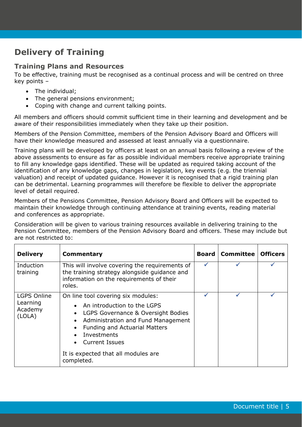# **Delivery of Training**

### **Training Plans and Resources**

To be effective, training must be recognised as a continual process and will be centred on three key points –

- The individual;
- The general pensions environment;
- Coping with change and current talking points.

All members and officers should commit sufficient time in their learning and development and be aware of their responsibilities immediately when they take up their position.

Members of the Pension Committee, members of the Pension Advisory Board and Officers will have their knowledge measured and assessed at least annually via a questionnaire.

Training plans will be developed by officers at least on an annual basis following a review of the above assessments to ensure as far as possible individual members receive appropriate training to fill any knowledge gaps identified. These will be updated as required taking account of the identification of any knowledge gaps, changes in legislation, key events (e.g. the triennial valuation) and receipt of updated guidance. However it is recognised that a rigid training plan can be detrimental. Learning programmes will therefore be flexible to deliver the appropriate level of detail required.

Members of the Pensions Committee, Pension Advisory Board and Officers will be expected to maintain their knowledge through continuing attendance at training events, reading material and conferences as appropriate.

Consideration will be given to various training resources available in delivering training to the Pension Committee, members of the Pension Advisory Board and officers. These may include but are not restricted to:

| <b>Delivery</b>                                     | <b>Commentary</b>                                                                                                                                                                                                                                                                                                         | Board | <b>Committee</b> | <b>Officers</b> |
|-----------------------------------------------------|---------------------------------------------------------------------------------------------------------------------------------------------------------------------------------------------------------------------------------------------------------------------------------------------------------------------------|-------|------------------|-----------------|
| Induction<br>training                               | This will involve covering the requirements of<br>the training strategy alongside guidance and<br>information on the requirements of their<br>roles.                                                                                                                                                                      | ✓     |                  |                 |
| <b>LGPS Online</b><br>Learning<br>Academy<br>(LOLA) | On line tool covering six modules:<br>An introduction to the LGPS<br>$\bullet$<br>LGPS Governance & Oversight Bodies<br>$\bullet$<br>Administration and Fund Management<br>$\bullet$<br><b>Funding and Actuarial Matters</b><br>Investments<br><b>Current Issues</b><br>It is expected that all modules are<br>completed. |       |                  |                 |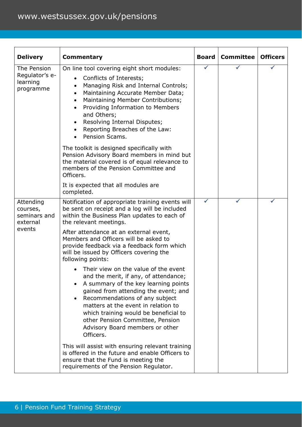| <b>Delivery</b>                                             | <b>Commentary</b>                                                                                                                                                                                                                                                                                                                                                                                                                                                                                                                                                                                                                                                                                                                                                                                                                                                                                                                                       | <b>Board</b> | <b>Committee</b> | <b>Officers</b> |
|-------------------------------------------------------------|---------------------------------------------------------------------------------------------------------------------------------------------------------------------------------------------------------------------------------------------------------------------------------------------------------------------------------------------------------------------------------------------------------------------------------------------------------------------------------------------------------------------------------------------------------------------------------------------------------------------------------------------------------------------------------------------------------------------------------------------------------------------------------------------------------------------------------------------------------------------------------------------------------------------------------------------------------|--------------|------------------|-----------------|
| The Pension<br>Regulator's e-<br>learning<br>programme      | On line tool covering eight short modules:<br>Conflicts of Interests;<br>$\bullet$<br>Managing Risk and Internal Controls;<br>Maintaining Accurate Member Data;<br>٠<br>Maintaining Member Contributions;<br>$\bullet$<br>Providing Information to Members<br>$\bullet$<br>and Others;<br>Resolving Internal Disputes;<br>$\bullet$<br>Reporting Breaches of the Law:<br>Pension Scams.<br>The toolkit is designed specifically with<br>Pension Advisory Board members in mind but<br>the material covered is of equal relevance to<br>members of the Pension Committee and<br>Officers.<br>It is expected that all modules are<br>completed.                                                                                                                                                                                                                                                                                                           | ✓            |                  |                 |
| Attending<br>courses,<br>seminars and<br>external<br>events | Notification of appropriate training events will<br>be sent on receipt and a log will be included<br>within the Business Plan updates to each of<br>the relevant meetings.<br>After attendance at an external event,<br>Members and Officers will be asked to<br>provide feedback via a feedback form which<br>will be issued by Officers covering the<br>following points:<br>Their view on the value of the event<br>and the merit, if any, of attendance;<br>A summary of the key learning points<br>$\bullet$<br>gained from attending the event; and<br>Recommendations of any subject<br>matters at the event in relation to<br>which training would be beneficial to<br>other Pension Committee, Pension<br>Advisory Board members or other<br>Officers.<br>This will assist with ensuring relevant training<br>is offered in the future and enable Officers to<br>ensure that the Fund is meeting the<br>requirements of the Pension Regulator. | ✔            |                  |                 |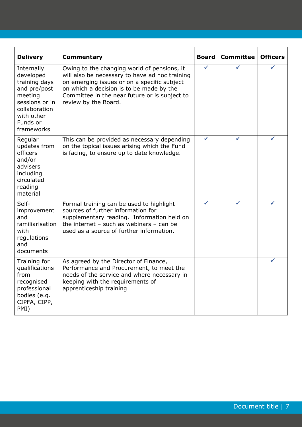| <b>Delivery</b>                                                                                                                                | Commentary                                                                                                                                                                                                                                                        | <b>Board</b> | <b>Committee</b> | <b>Officers</b> |
|------------------------------------------------------------------------------------------------------------------------------------------------|-------------------------------------------------------------------------------------------------------------------------------------------------------------------------------------------------------------------------------------------------------------------|--------------|------------------|-----------------|
| Internally<br>developed<br>training days<br>and pre/post<br>meeting<br>sessions or in<br>collaboration<br>with other<br>Funds or<br>frameworks | Owing to the changing world of pensions, it<br>will also be necessary to have ad hoc training<br>on emerging issues or on a specific subject<br>on which a decision is to be made by the<br>Committee in the near future or is subject to<br>review by the Board. | ✓            |                  |                 |
| Regular<br>updates from<br>officers<br>and/or<br>advisers<br>including<br>circulated<br>reading<br>material                                    | This can be provided as necessary depending<br>on the topical issues arising which the Fund<br>is facing, to ensure up to date knowledge.                                                                                                                         | ✓            |                  |                 |
| Self-<br>improvement<br>and<br>familiarisation<br>with<br>regulations<br>and<br>documents                                                      | Formal training can be used to highlight<br>sources of further information for<br>supplementary reading. Information held on<br>the internet $-$ such as webinars $-$ can be<br>used as a source of further information.                                          |              |                  |                 |
| Training for<br>qualifications<br>from<br>recognised<br>professional<br>bodies (e.g.<br>CIPFA, CIPP,<br>PMI)                                   | As agreed by the Director of Finance,<br>Performance and Procurement, to meet the<br>needs of the service and where necessary in<br>keeping with the requirements of<br>apprenticeship training                                                                   |              |                  |                 |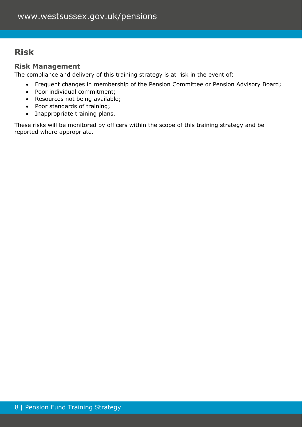# **Risk**

## **Risk Management**

The compliance and delivery of this training strategy is at risk in the event of:

- Frequent changes in membership of the Pension Committee or Pension Advisory Board;
- Poor individual commitment;
- Resources not being available;
- Poor standards of training;
- Inappropriate training plans.

These risks will be monitored by officers within the scope of this training strategy and be reported where appropriate.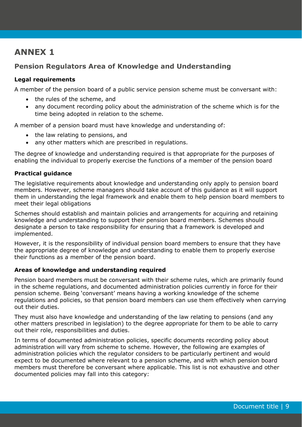## **ANNEX 1**

## **Pension Regulators Area of Knowledge and Understanding**

#### **Legal requirements**

A member of the pension board of a public service pension scheme must be conversant with:

- the rules of the scheme, and
- any document recording policy about the administration of the scheme which is for the time being adopted in relation to the scheme.

A member of a pension board must have knowledge and understanding of:

- the law relating to pensions, and
- any other matters which are prescribed in regulations.

The degree of knowledge and understanding required is that appropriate for the purposes of enabling the individual to properly exercise the functions of a member of the pension board

#### **Practical guidance**

The legislative requirements about knowledge and understanding only apply to pension board members. However, scheme managers should take account of this guidance as it will support them in understanding the legal framework and enable them to help pension board members to meet their legal obligations

Schemes should establish and maintain policies and arrangements for acquiring and retaining knowledge and understanding to support their pension board members. Schemes should designate a person to take responsibility for ensuring that a framework is developed and implemented.

However, it is the responsibility of individual pension board members to ensure that they have the appropriate degree of knowledge and understanding to enable them to properly exercise their functions as a member of the pension board.

#### **Areas of knowledge and understanding required**

Pension board members must be conversant with their scheme rules, which are primarily found in the scheme regulations, and documented administration policies currently in force for their pension scheme. Being 'conversant' means having a working knowledge of the scheme regulations and policies, so that pension board members can use them effectively when carrying out their duties.

They must also have knowledge and understanding of the law relating to pensions (and any other matters prescribed in legislation) to the degree appropriate for them to be able to carry out their role, responsibilities and duties.

In terms of documented administration policies, specific documents recording policy about administration will vary from scheme to scheme. However, the following are examples of administration policies which the regulator considers to be particularly pertinent and would expect to be documented where relevant to a pension scheme, and with which pension board members must therefore be conversant where applicable. This list is not exhaustive and other documented policies may fall into this category: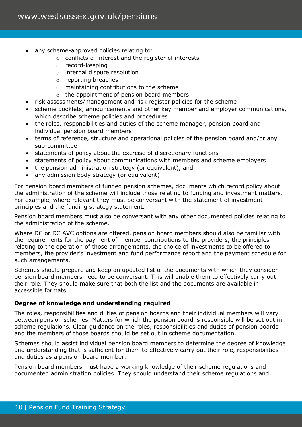- any scheme-approved policies relating to:
	- o conflicts of interest and the register of interests
	- o record-keeping
	- o internal dispute resolution
	- o reporting breaches
	- o maintaining contributions to the scheme
	- o the appointment of pension board members
- risk assessments/management and risk register policies for the scheme
- scheme booklets, announcements and other key member and employer communications, which describe scheme policies and procedures
- the roles, responsibilities and duties of the scheme manager, pension board and individual pension board members
- terms of reference, structure and operational policies of the pension board and/or any sub-committee
- statements of policy about the exercise of discretionary functions
- statements of policy about communications with members and scheme employers
- the pension administration strategy (or equivalent), and
- any admission body strategy (or equivalent)

For pension board members of funded pension schemes, documents which record policy about the administration of the scheme will include those relating to funding and investment matters. For example, where relevant they must be conversant with the statement of investment principles and the funding strategy statement.

Pension board members must also be conversant with any other documented policies relating to the administration of the scheme.

Where DC or DC AVC options are offered, pension board members should also be familiar with the requirements for the payment of member contributions to the providers, the principles relating to the operation of those arrangements, the choice of investments to be offered to members, the provider's investment and fund performance report and the payment schedule for such arrangements.

Schemes should prepare and keep an updated list of the documents with which they consider pension board members need to be conversant. This will enable them to effectively carry out their role. They should make sure that both the list and the documents are available in accessible formats.

#### **Degree of knowledge and understanding required**

The roles, responsibilities and duties of pension boards and their individual members will vary between pension schemes. Matters for which the pension board is responsible will be set out in scheme regulations. Clear guidance on the roles, responsibilities and duties of pension boards and the members of those boards should be set out in scheme documentation.

Schemes should assist individual pension board members to determine the degree of knowledge and understanding that is sufficient for them to effectively carry out their role, responsibilities and duties as a pension board member.

Pension board members must have a working knowledge of their scheme regulations and documented administration policies. They should understand their scheme regulations and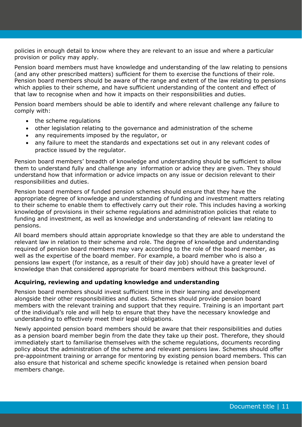policies in enough detail to know where they are relevant to an issue and where a particular provision or policy may apply.

Pension board members must have knowledge and understanding of the law relating to pensions (and any other prescribed matters) sufficient for them to exercise the functions of their role. Pension board members should be aware of the range and extent of the law relating to pensions which applies to their scheme, and have sufficient understanding of the content and effect of that law to recognise when and how it impacts on their responsibilities and duties.

Pension board members should be able to identify and where relevant challenge any failure to comply with:

- the scheme regulations
- other legislation relating to the governance and administration of the scheme
- any requirements imposed by the regulator, or
- any failure to meet the standards and expectations set out in any relevant codes of practice issued by the regulator.

Pension board members' breadth of knowledge and understanding should be sufficient to allow them to understand fully and challenge any information or advice they are given. They should understand how that information or advice impacts on any issue or decision relevant to their responsibilities and duties.

Pension board members of funded pension schemes should ensure that they have the appropriate degree of knowledge and understanding of funding and investment matters relating to their scheme to enable them to effectively carry out their role. This includes having a working knowledge of provisions in their scheme regulations and administration policies that relate to funding and investment, as well as knowledge and understanding of relevant law relating to pensions.

All board members should attain appropriate knowledge so that they are able to understand the relevant law in relation to their scheme and role. The degree of knowledge and understanding required of pension board members may vary according to the role of the board member, as well as the expertise of the board member. For example, a board member who is also a pensions law expert (for instance, as a result of their day job) should have a greater level of knowledge than that considered appropriate for board members without this background.

#### **Acquiring, reviewing and updating knowledge and understanding**

Pension board members should invest sufficient time in their learning and development alongside their other responsibilities and duties. Schemes should provide pension board members with the relevant training and support that they require. Training is an important part of the individual's role and will help to ensure that they have the necessary knowledge and understanding to effectively meet their legal obligations.

Newly appointed pension board members should be aware that their responsibilities and duties as a pension board member begin from the date they take up their post. Therefore, they should immediately start to familiarise themselves with the scheme regulations, documents recording policy about the administration of the scheme and relevant pensions law. Schemes should offer pre-appointment training or arrange for mentoring by existing pension board members. This can also ensure that historical and scheme specific knowledge is retained when pension board members change.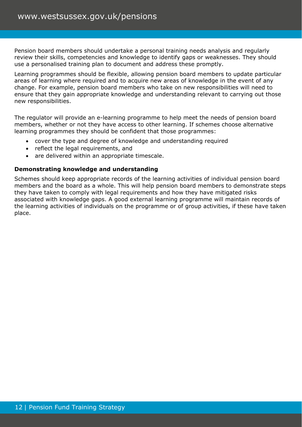Pension board members should undertake a personal training needs analysis and regularly review their skills, competencies and knowledge to identify gaps or weaknesses. They should use a personalised training plan to document and address these promptly.

Learning programmes should be flexible, allowing pension board members to update particular areas of learning where required and to acquire new areas of knowledge in the event of any change. For example, pension board members who take on new responsibilities will need to ensure that they gain appropriate knowledge and understanding relevant to carrying out those new responsibilities.

The regulator will provide an e-learning programme to help meet the needs of pension board members, whether or not they have access to other learning. If schemes choose alternative learning programmes they should be confident that those programmes:

- cover the type and degree of knowledge and understanding required
- reflect the legal requirements, and
- are delivered within an appropriate timescale.

#### **Demonstrating knowledge and understanding**

Schemes should keep appropriate records of the learning activities of individual pension board members and the board as a whole. This will help pension board members to demonstrate steps they have taken to comply with legal requirements and how they have mitigated risks associated with knowledge gaps. A good external learning programme will maintain records of the learning activities of individuals on the programme or of group activities, if these have taken place.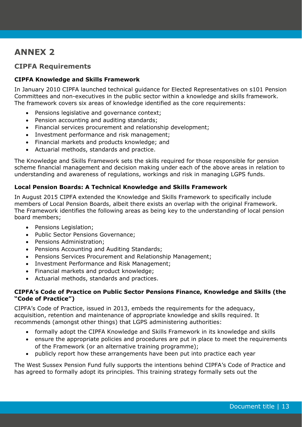# **ANNEX 2**

## **CIPFA Requirements**

#### **CIPFA Knowledge and Skills Framework**

In January 2010 CIPFA launched technical guidance for Elected Representatives on s101 Pension Committees and non-executives in the public sector within a knowledge and skills framework. The framework covers six areas of knowledge identified as the core requirements:

- Pensions legislative and governance context;
- Pension accounting and auditing standards;
- Financial services procurement and relationship development;
- Investment performance and risk management;
- Financial markets and products knowledge; and
- Actuarial methods, standards and practice.

The Knowledge and Skills Framework sets the skills required for those responsible for pension scheme financial management and decision making under each of the above areas in relation to understanding and awareness of regulations, workings and risk in managing LGPS funds.

#### **Local Pension Boards: A Technical Knowledge and Skills Framework**

In August 2015 CIPFA extended the Knowledge and Skills Framework to specifically include members of Local Pension Boards, albeit there exists an overlap with the original Framework. The Framework identifies the following areas as being key to the understanding of local pension board members;

- Pensions Legislation;
- Public Sector Pensions Governance;
- Pensions Administration;
- Pensions Accounting and Auditing Standards;
- Pensions Services Procurement and Relationship Management;
- Investment Performance and Risk Management;
- Financial markets and product knowledge;
- Actuarial methods, standards and practices.

#### **CIPFA's Code of Practice on Public Sector Pensions Finance, Knowledge and Skills (the "Code of Practice")**

CIPFA's Code of Practice, issued in 2013, embeds the requirements for the adequacy, acquisition, retention and maintenance of appropriate knowledge and skills required. It recommends (amongst other things) that LGPS administering authorities:

- formally adopt the CIPFA Knowledge and Skills Framework in its knowledge and skills
- ensure the appropriate policies and procedures are put in place to meet the requirements of the Framework (or an alternative training programme);
- publicly report how these arrangements have been put into practice each year

The West Sussex Pension Fund fully supports the intentions behind CIPFA's Code of Practice and has agreed to formally adopt its principles. This training strategy formally sets out the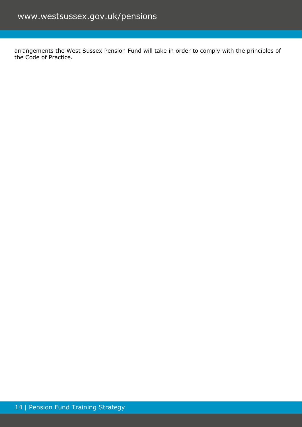arrangements the West Sussex Pension Fund will take in order to comply with the principles of the Code of Practice.